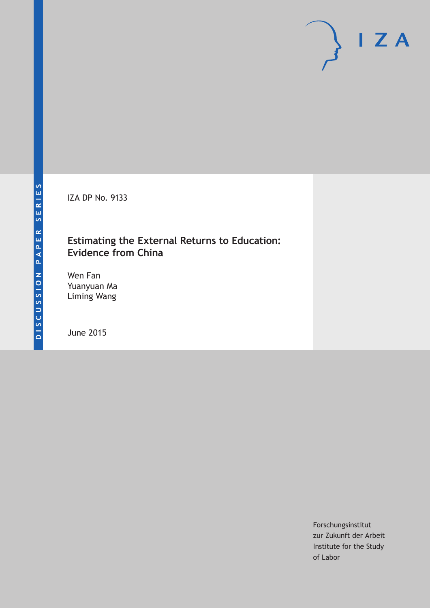IZA DP No. 9133

## **Estimating the External Returns to Education: Evidence from China**

Wen Fan Yuanyuan Ma Liming Wang

June 2015

Forschungsinstitut zur Zukunft der Arbeit Institute for the Study of Labor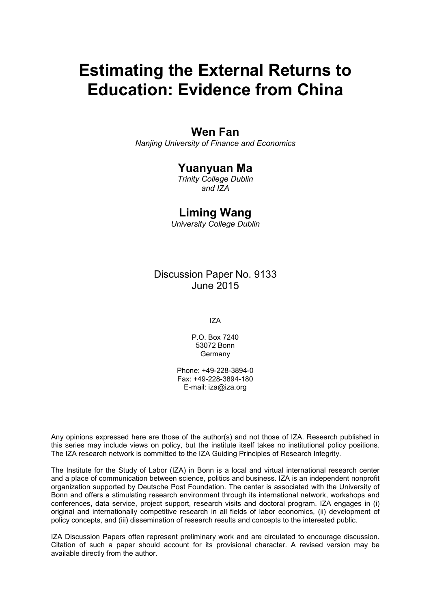# **Estimating the External Returns to Education: Evidence from China**

## **Wen Fan**

*Nanjing University of Finance and Economics*

### **Yuanyuan Ma**

*Trinity College Dublin and IZA*

### **Liming Wang**

*University College Dublin*

Discussion Paper No. 9133 June 2015

IZA

P.O. Box 7240 53072 Bonn Germany

Phone: +49-228-3894-0 Fax: +49-228-3894-180 E-mail: iza@iza.org

Any opinions expressed here are those of the author(s) and not those of IZA. Research published in this series may include views on policy, but the institute itself takes no institutional policy positions. The IZA research network is committed to the IZA Guiding Principles of Research Integrity.

The Institute for the Study of Labor (IZA) in Bonn is a local and virtual international research center and a place of communication between science, politics and business. IZA is an independent nonprofit organization supported by Deutsche Post Foundation. The center is associated with the University of Bonn and offers a stimulating research environment through its international network, workshops and conferences, data service, project support, research visits and doctoral program. IZA engages in (i) original and internationally competitive research in all fields of labor economics, (ii) development of policy concepts, and (iii) dissemination of research results and concepts to the interested public.

<span id="page-1-0"></span>IZA Discussion Papers often represent preliminary work and are circulated to encourage discussion. Citation of such a paper should account for its provisional character. A revised version may be available directly from the author.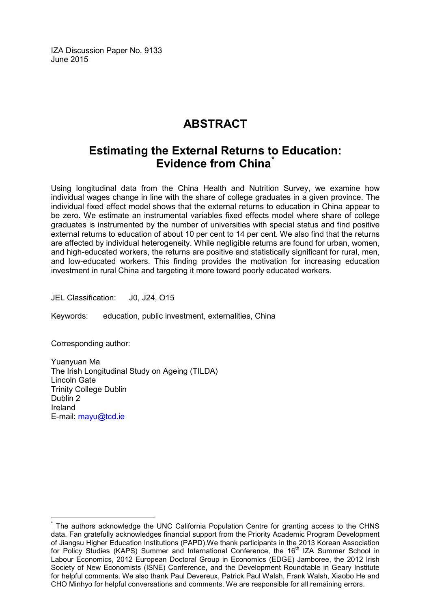IZA Discussion Paper No. 9133 June 2015

## **ABSTRACT**

## **Estimating the External Returns to Education: Evidence from China[\\*](#page-1-0)**

Using longitudinal data from the China Health and Nutrition Survey, we examine how individual wages change in line with the share of college graduates in a given province. The individual fixed effect model shows that the external returns to education in China appear to be zero. We estimate an instrumental variables fixed effects model where share of college graduates is instrumented by the number of universities with special status and find positive external returns to education of about 10 per cent to 14 per cent. We also find that the returns are affected by individual heterogeneity. While negligible returns are found for urban, women, and high-educated workers, the returns are positive and statistically significant for rural, men, and low-educated workers. This finding provides the motivation for increasing education investment in rural China and targeting it more toward poorly educated workers.

JEL Classification: J0, J24, O15

Keywords: education, public investment, externalities, China

Corresponding author:

Yuanyuan Ma The Irish Longitudinal Study on Ageing (TILDA) Lincoln Gate Trinity College Dublin Dublin 2 Ireland E-mail: [mayu@tcd.ie](mailto:mayu@tcd.ie)

The authors acknowledge the UNC California Population Centre for granting access to the CHNS data. Fan gratefully acknowledges financial support from the Priority Academic Program Development of Jiangsu Higher Education Institutions (PAPD).We thank participants in the 2013 Korean Association for Policy Studies (KAPS) Summer and International Conference, the 16<sup>th</sup> IZA Summer School in Labour Economics, 2012 European Doctoral Group in Economics (EDGE) Jamboree, the 2012 Irish Society of New Economists (ISNE) Conference, and the Development Roundtable in Geary Institute for helpful comments. We also thank Paul Devereux, Patrick Paul Walsh, Frank Walsh, Xiaobo He and CHO Minhyo for helpful conversations and comments. We are responsible for all remaining errors.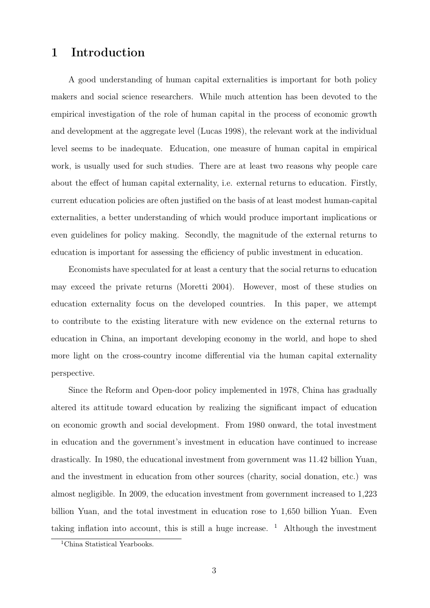## 1 Introduction

A good understanding of human capital externalities is important for both policy makers and social science researchers. While much attention has been devoted to the empirical investigation of the role of human capital in the process of economic growth and development at the aggregate level (Lucas 1998), the relevant work at the individual level seems to be inadequate. Education, one measure of human capital in empirical work, is usually used for such studies. There are at least two reasons why people care about the effect of human capital externality, i.e. external returns to education. Firstly, current education policies are often justified on the basis of at least modest human-capital externalities, a better understanding of which would produce important implications or even guidelines for policy making. Secondly, the magnitude of the external returns to education is important for assessing the efficiency of public investment in education.

Economists have speculated for at least a century that the social returns to education may exceed the private returns (Moretti 2004). However, most of these studies on education externality focus on the developed countries. In this paper, we attempt to contribute to the existing literature with new evidence on the external returns to education in China, an important developing economy in the world, and hope to shed more light on the cross-country income differential via the human capital externality perspective.

Since the Reform and Open-door policy implemented in 1978, China has gradually altered its attitude toward education by realizing the significant impact of education on economic growth and social development. From 1980 onward, the total investment in education and the government's investment in education have continued to increase drastically. In 1980, the educational investment from government was 11.42 billion Yuan, and the investment in education from other sources (charity, social donation, etc.) was almost negligible. In 2009, the education investment from government increased to 1,223 billion Yuan, and the total investment in education rose to 1,650 billion Yuan. Even taking inflation into account, this is still a huge increase.  $\frac{1}{1}$  Although the investment

<sup>&</sup>lt;sup>1</sup>China Statistical Yearbooks.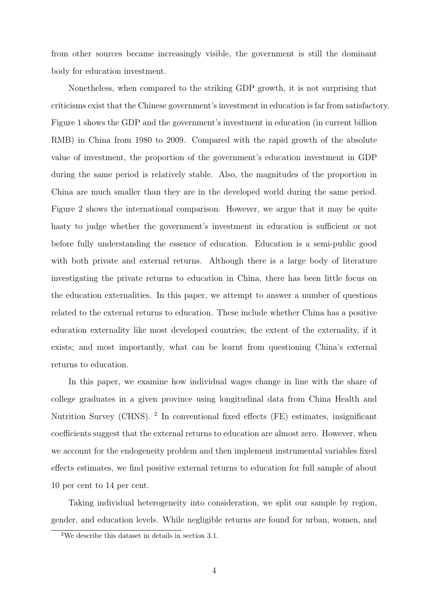from other sources became increasingly visible, the government is still the dominant body for education investment.

Nonetheless, when compared to the striking GDP growth, it is not surprising that criticisms exist that the Chinese government's investment in education is far from satisfactory. Figure 1 shows the GDP and the government's investment in education (in current billion RMB) in China from 1980 to 2009. Compared with the rapid growth of the absolute value of investment, the proportion of the government's education investment in GDP during the same period is relatively stable. Also, the magnitudes of the proportion in China are much smaller than they are in the developed world during the same period. Figure 2 shows the international comparison. However, we argue that it may be quite hasty to judge whether the government's investment in education is sufficient or not before fully understanding the essence of education. Education is a semi-public good with both private and external returns. Although there is a large body of literature investigating the private returns to education in China, there has been little focus on the education externalities. In this paper, we attempt to answer a number of questions related to the external returns to education. These include whether China has a positive education externality like most developed countries; the extent of the externality, if it exists; and most importantly, what can be learnt from questioning China's external returns to education.

In this paper, we examine how individual wages change in line with the share of college graduates in a given province using longitudinal data from China Health and Nutrition Survey (CHNS). <sup>2</sup> In conventional fixed effects (FE) estimates, insignificant coefficients suggest that the external returns to education are almost zero. However, when we account for the endogeneity problem and then implement instrumental variables fixed effects estimates, we find positive external returns to education for full sample of about 10 per cent to 14 per cent.

Taking individual heterogeneity into consideration, we split our sample by region, gender, and education levels. While negligible returns are found for urban, women, and

<sup>2</sup>We describe this dataset in details in section 3.1.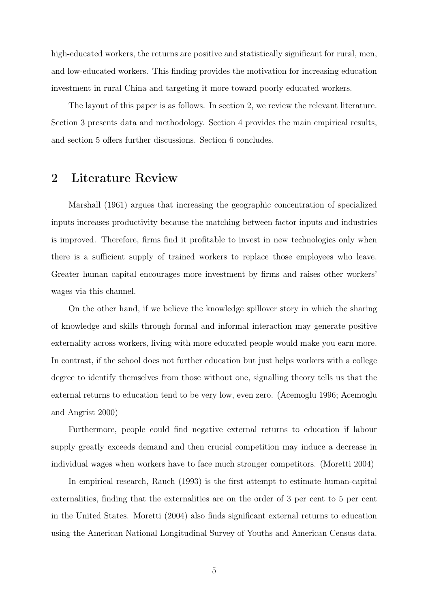high-educated workers, the returns are positive and statistically significant for rural, men, and low-educated workers. This finding provides the motivation for increasing education investment in rural China and targeting it more toward poorly educated workers.

The layout of this paper is as follows. In section 2, we review the relevant literature. Section 3 presents data and methodology. Section 4 provides the main empirical results, and section 5 offers further discussions. Section 6 concludes.

## 2 Literature Review

Marshall (1961) argues that increasing the geographic concentration of specialized inputs increases productivity because the matching between factor inputs and industries is improved. Therefore, firms find it profitable to invest in new technologies only when there is a sufficient supply of trained workers to replace those employees who leave. Greater human capital encourages more investment by firms and raises other workers' wages via this channel.

On the other hand, if we believe the knowledge spillover story in which the sharing of knowledge and skills through formal and informal interaction may generate positive externality across workers, living with more educated people would make you earn more. In contrast, if the school does not further education but just helps workers with a college degree to identify themselves from those without one, signalling theory tells us that the external returns to education tend to be very low, even zero. (Acemoglu 1996; Acemoglu and Angrist 2000)

Furthermore, people could find negative external returns to education if labour supply greatly exceeds demand and then crucial competition may induce a decrease in individual wages when workers have to face much stronger competitors. (Moretti 2004)

In empirical research, Rauch (1993) is the first attempt to estimate human-capital externalities, finding that the externalities are on the order of 3 per cent to 5 per cent in the United States. Moretti (2004) also finds significant external returns to education using the American National Longitudinal Survey of Youths and American Census data.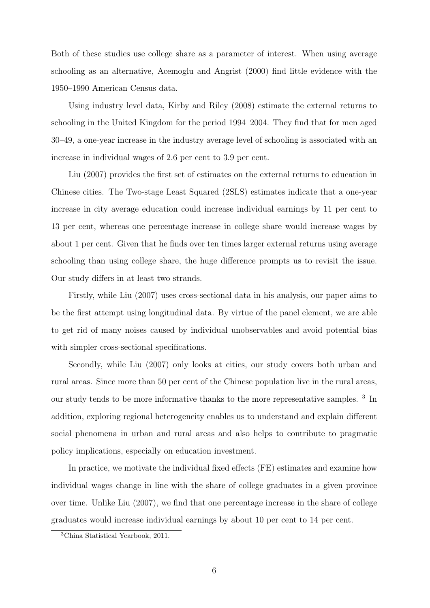Both of these studies use college share as a parameter of interest. When using average schooling as an alternative, Acemoglu and Angrist (2000) find little evidence with the 1950–1990 American Census data.

Using industry level data, Kirby and Riley (2008) estimate the external returns to schooling in the United Kingdom for the period 1994–2004. They find that for men aged 30–49, a one-year increase in the industry average level of schooling is associated with an increase in individual wages of 2.6 per cent to 3.9 per cent.

Liu (2007) provides the first set of estimates on the external returns to education in Chinese cities. The Two-stage Least Squared (2SLS) estimates indicate that a one-year increase in city average education could increase individual earnings by 11 per cent to 13 per cent, whereas one percentage increase in college share would increase wages by about 1 per cent. Given that he finds over ten times larger external returns using average schooling than using college share, the huge difference prompts us to revisit the issue. Our study differs in at least two strands.

Firstly, while Liu (2007) uses cross-sectional data in his analysis, our paper aims to be the first attempt using longitudinal data. By virtue of the panel element, we are able to get rid of many noises caused by individual unobservables and avoid potential bias with simpler cross-sectional specifications.

Secondly, while Liu (2007) only looks at cities, our study covers both urban and rural areas. Since more than 50 per cent of the Chinese population live in the rural areas, our study tends to be more informative thanks to the more representative samples.<sup>3</sup> In addition, exploring regional heterogeneity enables us to understand and explain different social phenomena in urban and rural areas and also helps to contribute to pragmatic policy implications, especially on education investment.

In practice, we motivate the individual fixed effects (FE) estimates and examine how individual wages change in line with the share of college graduates in a given province over time. Unlike Liu (2007), we find that one percentage increase in the share of college graduates would increase individual earnings by about 10 per cent to 14 per cent.

<sup>3</sup>China Statistical Yearbook, 2011.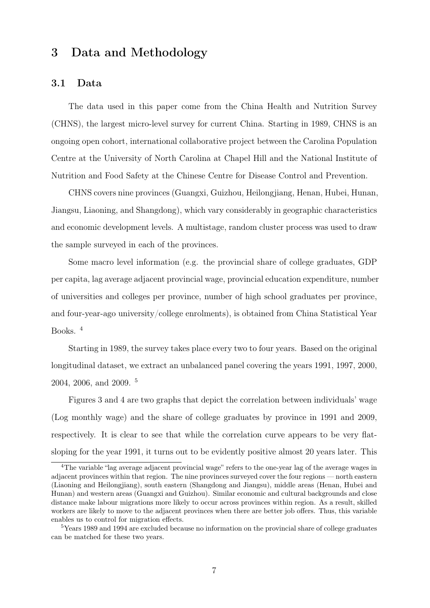### 3 Data and Methodology

#### 3.1 Data

The data used in this paper come from the China Health and Nutrition Survey (CHNS), the largest micro-level survey for current China. Starting in 1989, CHNS is an ongoing open cohort, international collaborative project between the Carolina Population Centre at the University of North Carolina at Chapel Hill and the National Institute of Nutrition and Food Safety at the Chinese Centre for Disease Control and Prevention.

CHNS covers nine provinces (Guangxi, Guizhou, Heilongjiang, Henan, Hubei, Hunan, Jiangsu, Liaoning, and Shangdong), which vary considerably in geographic characteristics and economic development levels. A multistage, random cluster process was used to draw the sample surveyed in each of the provinces.

Some macro level information (e.g. the provincial share of college graduates, GDP per capita, lag average adjacent provincial wage, provincial education expenditure, number of universities and colleges per province, number of high school graduates per province, and four-year-ago university/college enrolments), is obtained from China Statistical Year Books. <sup>4</sup>

Starting in 1989, the survey takes place every two to four years. Based on the original longitudinal dataset, we extract an unbalanced panel covering the years 1991, 1997, 2000, 2004, 2006, and 2009. <sup>5</sup>

Figures 3 and 4 are two graphs that depict the correlation between individuals' wage (Log monthly wage) and the share of college graduates by province in 1991 and 2009, respectively. It is clear to see that while the correlation curve appears to be very flatsloping for the year 1991, it turns out to be evidently positive almost 20 years later. This

<sup>4</sup>The variable "lag average adjacent provincial wage" refers to the one-year lag of the average wages in adjacent provinces within that region. The nine provinces surveyed cover the four regions — north eastern (Liaoning and Heilongjiang), south eastern (Shangdong and Jiangsu), middle areas (Henan, Hubei and Hunan) and western areas (Guangxi and Guizhou). Similar economic and cultural backgrounds and close distance make labour migrations more likely to occur across provinces within region. As a result, skilled workers are likely to move to the adjacent provinces when there are better job offers. Thus, this variable enables us to control for migration effects.

<sup>&</sup>lt;sup>5</sup>Years 1989 and 1994 are excluded because no information on the provincial share of college graduates can be matched for these two years.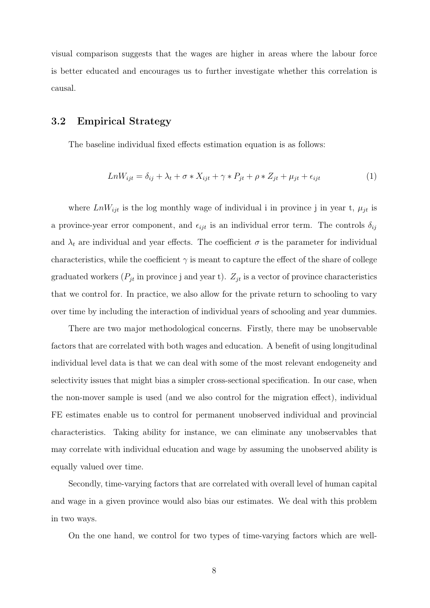visual comparison suggests that the wages are higher in areas where the labour force is better educated and encourages us to further investigate whether this correlation is causal.

#### 3.2 Empirical Strategy

The baseline individual fixed effects estimation equation is as follows:

$$
LnW_{ijt} = \delta_{ij} + \lambda_t + \sigma * X_{ijt} + \gamma * P_{jt} + \rho * Z_{jt} + \mu_{jt} + \epsilon_{ijt}
$$
\n<sup>(1)</sup>

where  $LnW_{ijt}$  is the log monthly wage of individual i in province j in year t,  $\mu_{jt}$  is a province-year error component, and  $\epsilon_{ijt}$  is an individual error term. The controls  $\delta_{ij}$ and  $\lambda_t$  are individual and year effects. The coefficient  $\sigma$  is the parameter for individual characteristics, while the coefficient  $\gamma$  is meant to capture the effect of the share of college graduated workers  $(P_{jt}$  in province j and year t).  $Z_{jt}$  is a vector of province characteristics that we control for. In practice, we also allow for the private return to schooling to vary over time by including the interaction of individual years of schooling and year dummies.

There are two major methodological concerns. Firstly, there may be unobservable factors that are correlated with both wages and education. A benefit of using longitudinal individual level data is that we can deal with some of the most relevant endogeneity and selectivity issues that might bias a simpler cross-sectional specification. In our case, when the non-mover sample is used (and we also control for the migration effect), individual FE estimates enable us to control for permanent unobserved individual and provincial characteristics. Taking ability for instance, we can eliminate any unobservables that may correlate with individual education and wage by assuming the unobserved ability is equally valued over time.

Secondly, time-varying factors that are correlated with overall level of human capital and wage in a given province would also bias our estimates. We deal with this problem in two ways.

On the one hand, we control for two types of time-varying factors which are well-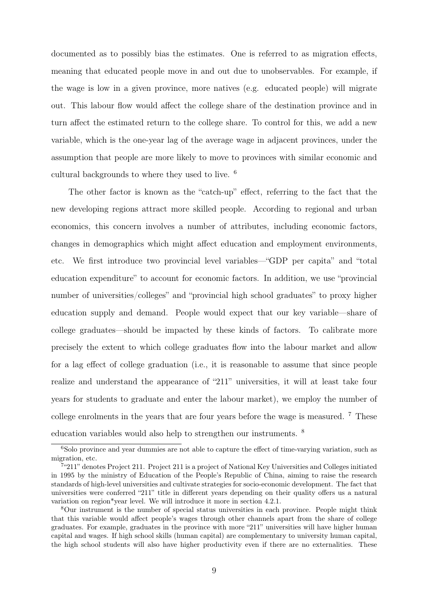documented as to possibly bias the estimates. One is referred to as migration effects, meaning that educated people move in and out due to unobservables. For example, if the wage is low in a given province, more natives (e.g. educated people) will migrate out. This labour flow would affect the college share of the destination province and in turn affect the estimated return to the college share. To control for this, we add a new variable, which is the one-year lag of the average wage in adjacent provinces, under the assumption that people are more likely to move to provinces with similar economic and cultural backgrounds to where they used to live. <sup>6</sup>

The other factor is known as the "catch-up" effect, referring to the fact that the new developing regions attract more skilled people. According to regional and urban economics, this concern involves a number of attributes, including economic factors, changes in demographics which might affect education and employment environments, etc. We first introduce two provincial level variables—"GDP per capita" and "total education expenditure" to account for economic factors. In addition, we use "provincial number of universities/colleges" and "provincial high school graduates" to proxy higher education supply and demand. People would expect that our key variable—share of college graduates—should be impacted by these kinds of factors. To calibrate more precisely the extent to which college graduates flow into the labour market and allow for a lag effect of college graduation (i.e., it is reasonable to assume that since people realize and understand the appearance of "211" universities, it will at least take four years for students to graduate and enter the labour market), we employ the number of college enrolments in the years that are four years before the wage is measured. <sup>7</sup> These education variables would also help to strengthen our instruments. <sup>8</sup>

<sup>&</sup>lt;sup>6</sup>Solo province and year dummies are not able to capture the effect of time-varying variation, such as migration, etc.

<sup>&</sup>lt;sup>7</sup>"211" denotes Project 211. Project 211 is a project of National Key Universities and Colleges initiated in 1995 by the ministry of Education of the People's Republic of China, aiming to raise the research standards of high-level universities and cultivate strategies for socio-economic development. The fact that universities were conferred "211" title in different years depending on their quality offers us a natural variation on region\*year level. We will introduce it more in section 4.2.1.

<sup>8</sup>Our instrument is the number of special status universities in each province. People might think that this variable would affect people's wages through other channels apart from the share of college graduates. For example, graduates in the province with more "211" universities will have higher human capital and wages. If high school skills (human capital) are complementary to university human capital, the high school students will also have higher productivity even if there are no externalities. These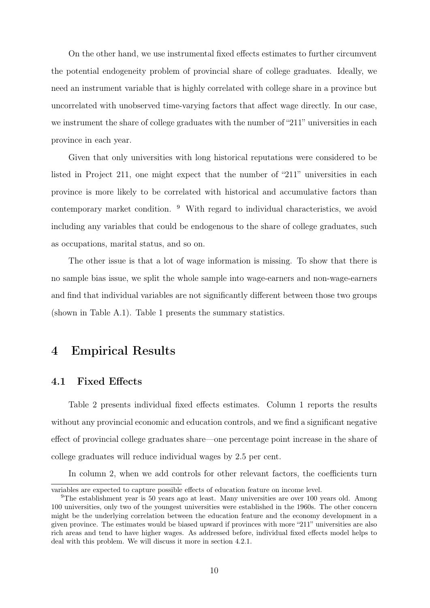On the other hand, we use instrumental fixed effects estimates to further circumvent the potential endogeneity problem of provincial share of college graduates. Ideally, we need an instrument variable that is highly correlated with college share in a province but uncorrelated with unobserved time-varying factors that affect wage directly. In our case, we instrument the share of college graduates with the number of "211" universities in each province in each year.

Given that only universities with long historical reputations were considered to be listed in Project 211, one might expect that the number of "211" universities in each province is more likely to be correlated with historical and accumulative factors than contemporary market condition. <sup>9</sup> With regard to individual characteristics, we avoid including any variables that could be endogenous to the share of college graduates, such as occupations, marital status, and so on.

The other issue is that a lot of wage information is missing. To show that there is no sample bias issue, we split the whole sample into wage-earners and non-wage-earners and find that individual variables are not significantly different between those two groups (shown in Table A.1). Table 1 presents the summary statistics.

### 4 Empirical Results

#### 4.1 Fixed Effects

Table 2 presents individual fixed effects estimates. Column 1 reports the results without any provincial economic and education controls, and we find a significant negative effect of provincial college graduates share—one percentage point increase in the share of college graduates will reduce individual wages by 2.5 per cent.

In column 2, when we add controls for other relevant factors, the coefficients turn

variables are expected to capture possible effects of education feature on income level.

<sup>&</sup>lt;sup>9</sup>The establishment year is 50 years ago at least. Many universities are over 100 years old. Among 100 universities, only two of the youngest universities were established in the 1960s. The other concern might be the underlying correlation between the education feature and the economy development in a given province. The estimates would be biased upward if provinces with more "211" universities are also rich areas and tend to have higher wages. As addressed before, individual fixed effects model helps to deal with this problem. We will discuss it more in section 4.2.1.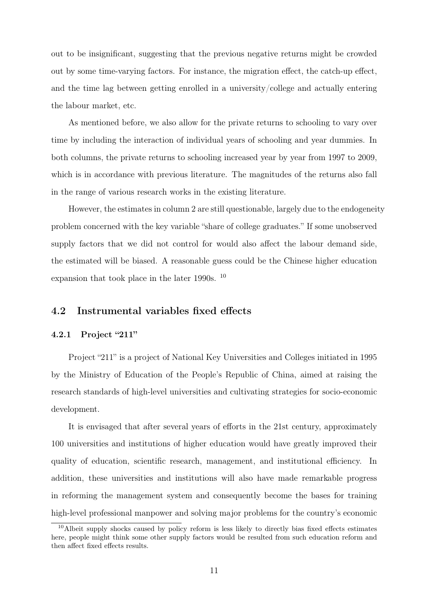out to be insignificant, suggesting that the previous negative returns might be crowded out by some time-varying factors. For instance, the migration effect, the catch-up effect, and the time lag between getting enrolled in a university/college and actually entering the labour market, etc.

As mentioned before, we also allow for the private returns to schooling to vary over time by including the interaction of individual years of schooling and year dummies. In both columns, the private returns to schooling increased year by year from 1997 to 2009, which is in accordance with previous literature. The magnitudes of the returns also fall in the range of various research works in the existing literature.

However, the estimates in column 2 are still questionable, largely due to the endogeneity problem concerned with the key variable "share of college graduates." If some unobserved supply factors that we did not control for would also affect the labour demand side, the estimated will be biased. A reasonable guess could be the Chinese higher education expansion that took place in the later 1990s. <sup>10</sup>

#### 4.2 Instrumental variables fixed effects

#### 4.2.1 Project "211"

Project "211" is a project of National Key Universities and Colleges initiated in 1995 by the Ministry of Education of the People's Republic of China, aimed at raising the research standards of high-level universities and cultivating strategies for socio-economic development.

It is envisaged that after several years of efforts in the 21st century, approximately 100 universities and institutions of higher education would have greatly improved their quality of education, scientific research, management, and institutional efficiency. In addition, these universities and institutions will also have made remarkable progress in reforming the management system and consequently become the bases for training high-level professional manpower and solving major problems for the country's economic

<sup>&</sup>lt;sup>10</sup>Albeit supply shocks caused by policy reform is less likely to directly bias fixed effects estimates here, people might think some other supply factors would be resulted from such education reform and then affect fixed effects results.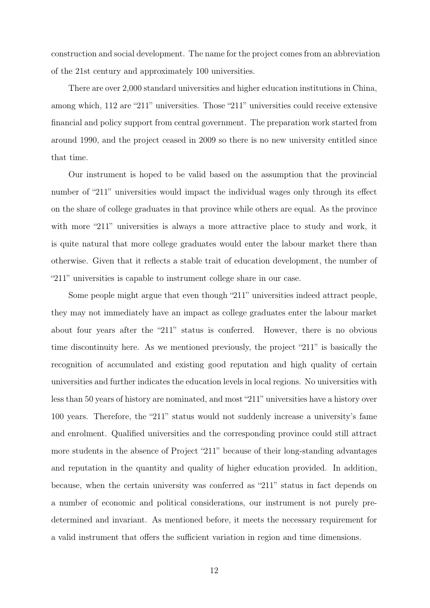construction and social development. The name for the project comes from an abbreviation of the 21st century and approximately 100 universities.

There are over 2,000 standard universities and higher education institutions in China, among which, 112 are "211" universities. Those "211" universities could receive extensive financial and policy support from central government. The preparation work started from around 1990, and the project ceased in 2009 so there is no new university entitled since that time.

Our instrument is hoped to be valid based on the assumption that the provincial number of "211" universities would impact the individual wages only through its effect on the share of college graduates in that province while others are equal. As the province with more "211" universities is always a more attractive place to study and work, it is quite natural that more college graduates would enter the labour market there than otherwise. Given that it reflects a stable trait of education development, the number of "211" universities is capable to instrument college share in our case.

Some people might argue that even though "211" universities indeed attract people, they may not immediately have an impact as college graduates enter the labour market about four years after the "211" status is conferred. However, there is no obvious time discontinuity here. As we mentioned previously, the project "211" is basically the recognition of accumulated and existing good reputation and high quality of certain universities and further indicates the education levels in local regions. No universities with less than 50 years of history are nominated, and most "211" universities have a history over 100 years. Therefore, the "211" status would not suddenly increase a university's fame and enrolment. Qualified universities and the corresponding province could still attract more students in the absence of Project "211" because of their long-standing advantages and reputation in the quantity and quality of higher education provided. In addition, because, when the certain university was conferred as "211" status in fact depends on a number of economic and political considerations, our instrument is not purely predetermined and invariant. As mentioned before, it meets the necessary requirement for a valid instrument that offers the sufficient variation in region and time dimensions.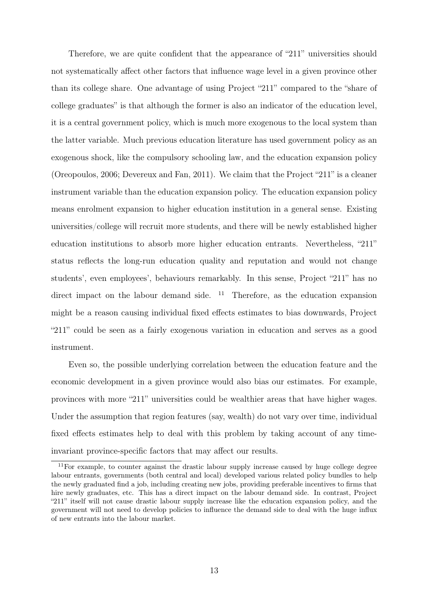Therefore, we are quite confident that the appearance of "211" universities should not systematically affect other factors that influence wage level in a given province other than its college share. One advantage of using Project "211" compared to the "share of college graduates" is that although the former is also an indicator of the education level, it is a central government policy, which is much more exogenous to the local system than the latter variable. Much previous education literature has used government policy as an exogenous shock, like the compulsory schooling law, and the education expansion policy (Oreopoulos, 2006; Devereux and Fan, 2011). We claim that the Project "211" is a cleaner instrument variable than the education expansion policy. The education expansion policy means enrolment expansion to higher education institution in a general sense. Existing universities/college will recruit more students, and there will be newly established higher education institutions to absorb more higher education entrants. Nevertheless, "211" status reflects the long-run education quality and reputation and would not change students', even employees', behaviours remarkably. In this sense, Project "211" has no direct impact on the labour demand side.  $11$  Therefore, as the education expansion might be a reason causing individual fixed effects estimates to bias downwards, Project "211" could be seen as a fairly exogenous variation in education and serves as a good instrument.

Even so, the possible underlying correlation between the education feature and the economic development in a given province would also bias our estimates. For example, provinces with more "211" universities could be wealthier areas that have higher wages. Under the assumption that region features (say, wealth) do not vary over time, individual fixed effects estimates help to deal with this problem by taking account of any timeinvariant province-specific factors that may affect our results.

<sup>11</sup>For example, to counter against the drastic labour supply increase caused by huge college degree labour entrants, governments (both central and local) developed various related policy bundles to help the newly graduated find a job, including creating new jobs, providing preferable incentives to firms that hire newly graduates, etc. This has a direct impact on the labour demand side. In contrast, Project "211" itself will not cause drastic labour supply increase like the education expansion policy, and the government will not need to develop policies to influence the demand side to deal with the huge influx of new entrants into the labour market.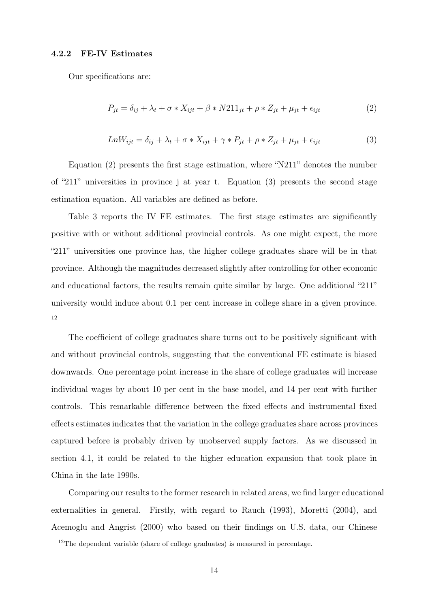#### 4.2.2 FE-IV Estimates

Our specifications are:

$$
P_{jt} = \delta_{ij} + \lambda_t + \sigma * X_{ijt} + \beta * N211_{jt} + \rho * Z_{jt} + \mu_{jt} + \epsilon_{ijt}
$$
\n<sup>(2)</sup>

$$
LnW_{ijt} = \delta_{ij} + \lambda_t + \sigma * X_{ijt} + \gamma * P_{jt} + \rho * Z_{jt} + \mu_{jt} + \epsilon_{ijt}
$$
\n
$$
\tag{3}
$$

Equation (2) presents the first stage estimation, where "N211" denotes the number of "211" universities in province j at year t. Equation (3) presents the second stage estimation equation. All variables are defined as before.

Table 3 reports the IV FE estimates. The first stage estimates are significantly positive with or without additional provincial controls. As one might expect, the more "211" universities one province has, the higher college graduates share will be in that province. Although the magnitudes decreased slightly after controlling for other economic and educational factors, the results remain quite similar by large. One additional "211" university would induce about 0.1 per cent increase in college share in a given province. 12

The coefficient of college graduates share turns out to be positively significant with and without provincial controls, suggesting that the conventional FE estimate is biased downwards. One percentage point increase in the share of college graduates will increase individual wages by about 10 per cent in the base model, and 14 per cent with further controls. This remarkable difference between the fixed effects and instrumental fixed effects estimates indicates that the variation in the college graduates share across provinces captured before is probably driven by unobserved supply factors. As we discussed in section 4.1, it could be related to the higher education expansion that took place in China in the late 1990s.

Comparing our results to the former research in related areas, we find larger educational externalities in general. Firstly, with regard to Rauch (1993), Moretti (2004), and Acemoglu and Angrist (2000) who based on their findings on U.S. data, our Chinese

<sup>&</sup>lt;sup>12</sup>The dependent variable (share of college graduates) is measured in percentage.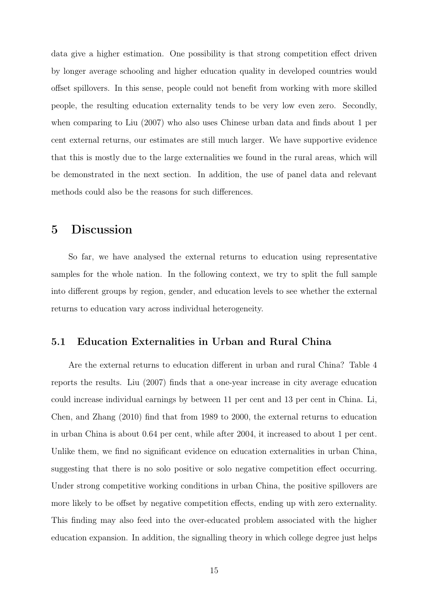data give a higher estimation. One possibility is that strong competition effect driven by longer average schooling and higher education quality in developed countries would offset spillovers. In this sense, people could not benefit from working with more skilled people, the resulting education externality tends to be very low even zero. Secondly, when comparing to Liu (2007) who also uses Chinese urban data and finds about 1 per cent external returns, our estimates are still much larger. We have supportive evidence that this is mostly due to the large externalities we found in the rural areas, which will be demonstrated in the next section. In addition, the use of panel data and relevant methods could also be the reasons for such differences.

### 5 Discussion

So far, we have analysed the external returns to education using representative samples for the whole nation. In the following context, we try to split the full sample into different groups by region, gender, and education levels to see whether the external returns to education vary across individual heterogeneity.

#### 5.1 Education Externalities in Urban and Rural China

Are the external returns to education different in urban and rural China? Table 4 reports the results. Liu (2007) finds that a one-year increase in city average education could increase individual earnings by between 11 per cent and 13 per cent in China. Li, Chen, and Zhang (2010) find that from 1989 to 2000, the external returns to education in urban China is about 0.64 per cent, while after 2004, it increased to about 1 per cent. Unlike them, we find no significant evidence on education externalities in urban China, suggesting that there is no solo positive or solo negative competition effect occurring. Under strong competitive working conditions in urban China, the positive spillovers are more likely to be offset by negative competition effects, ending up with zero externality. This finding may also feed into the over-educated problem associated with the higher education expansion. In addition, the signalling theory in which college degree just helps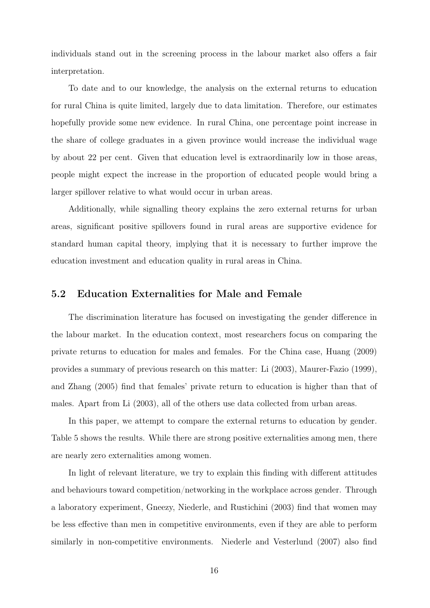individuals stand out in the screening process in the labour market also offers a fair interpretation.

To date and to our knowledge, the analysis on the external returns to education for rural China is quite limited, largely due to data limitation. Therefore, our estimates hopefully provide some new evidence. In rural China, one percentage point increase in the share of college graduates in a given province would increase the individual wage by about 22 per cent. Given that education level is extraordinarily low in those areas, people might expect the increase in the proportion of educated people would bring a larger spillover relative to what would occur in urban areas.

Additionally, while signalling theory explains the zero external returns for urban areas, significant positive spillovers found in rural areas are supportive evidence for standard human capital theory, implying that it is necessary to further improve the education investment and education quality in rural areas in China.

#### 5.2 Education Externalities for Male and Female

The discrimination literature has focused on investigating the gender difference in the labour market. In the education context, most researchers focus on comparing the private returns to education for males and females. For the China case, Huang (2009) provides a summary of previous research on this matter: Li (2003), Maurer-Fazio (1999), and Zhang (2005) find that females' private return to education is higher than that of males. Apart from Li (2003), all of the others use data collected from urban areas.

In this paper, we attempt to compare the external returns to education by gender. Table 5 shows the results. While there are strong positive externalities among men, there are nearly zero externalities among women.

In light of relevant literature, we try to explain this finding with different attitudes and behaviours toward competition/networking in the workplace across gender. Through a laboratory experiment, Gneezy, Niederle, and Rustichini (2003) find that women may be less effective than men in competitive environments, even if they are able to perform similarly in non-competitive environments. Niederle and Vesterlund (2007) also find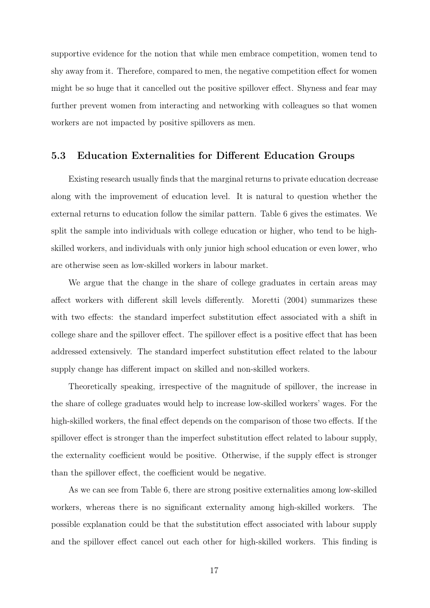supportive evidence for the notion that while men embrace competition, women tend to shy away from it. Therefore, compared to men, the negative competition effect for women might be so huge that it cancelled out the positive spillover effect. Shyness and fear may further prevent women from interacting and networking with colleagues so that women workers are not impacted by positive spillovers as men.

#### 5.3 Education Externalities for Different Education Groups

Existing research usually finds that the marginal returns to private education decrease along with the improvement of education level. It is natural to question whether the external returns to education follow the similar pattern. Table 6 gives the estimates. We split the sample into individuals with college education or higher, who tend to be highskilled workers, and individuals with only junior high school education or even lower, who are otherwise seen as low-skilled workers in labour market.

We argue that the change in the share of college graduates in certain areas may affect workers with different skill levels differently. Moretti (2004) summarizes these with two effects: the standard imperfect substitution effect associated with a shift in college share and the spillover effect. The spillover effect is a positive effect that has been addressed extensively. The standard imperfect substitution effect related to the labour supply change has different impact on skilled and non-skilled workers.

Theoretically speaking, irrespective of the magnitude of spillover, the increase in the share of college graduates would help to increase low-skilled workers' wages. For the high-skilled workers, the final effect depends on the comparison of those two effects. If the spillover effect is stronger than the imperfect substitution effect related to labour supply, the externality coefficient would be positive. Otherwise, if the supply effect is stronger than the spillover effect, the coefficient would be negative.

As we can see from Table 6, there are strong positive externalities among low-skilled workers, whereas there is no significant externality among high-skilled workers. The possible explanation could be that the substitution effect associated with labour supply and the spillover effect cancel out each other for high-skilled workers. This finding is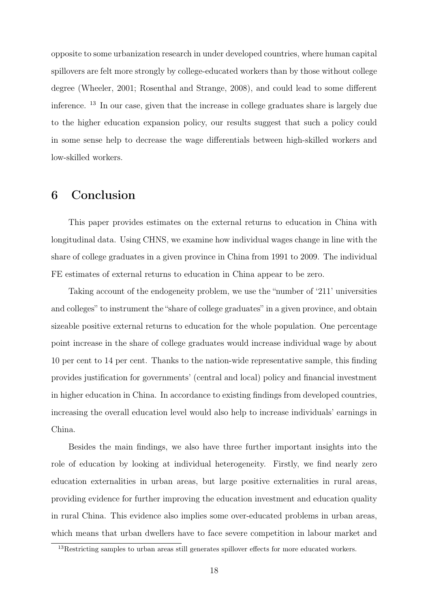opposite to some urbanization research in under developed countries, where human capital spillovers are felt more strongly by college-educated workers than by those without college degree (Wheeler, 2001; Rosenthal and Strange, 2008), and could lead to some different inference. <sup>13</sup> In our case, given that the increase in college graduates share is largely due to the higher education expansion policy, our results suggest that such a policy could in some sense help to decrease the wage differentials between high-skilled workers and low-skilled workers.

## 6 Conclusion

This paper provides estimates on the external returns to education in China with longitudinal data. Using CHNS, we examine how individual wages change in line with the share of college graduates in a given province in China from 1991 to 2009. The individual FE estimates of external returns to education in China appear to be zero.

Taking account of the endogeneity problem, we use the "number of '211' universities and colleges" to instrument the "share of college graduates" in a given province, and obtain sizeable positive external returns to education for the whole population. One percentage point increase in the share of college graduates would increase individual wage by about 10 per cent to 14 per cent. Thanks to the nation-wide representative sample, this finding provides justification for governments' (central and local) policy and financial investment in higher education in China. In accordance to existing findings from developed countries, increasing the overall education level would also help to increase individuals' earnings in China.

Besides the main findings, we also have three further important insights into the role of education by looking at individual heterogeneity. Firstly, we find nearly zero education externalities in urban areas, but large positive externalities in rural areas, providing evidence for further improving the education investment and education quality in rural China. This evidence also implies some over-educated problems in urban areas, which means that urban dwellers have to face severe competition in labour market and

<sup>&</sup>lt;sup>13</sup>Restricting samples to urban areas still generates spillover effects for more educated workers.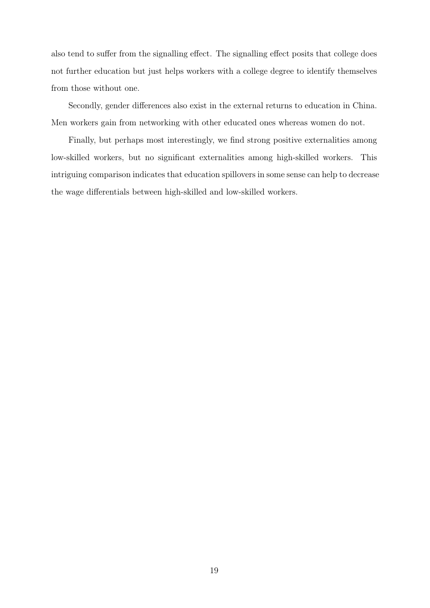also tend to suffer from the signalling effect. The signalling effect posits that college does not further education but just helps workers with a college degree to identify themselves from those without one.

Secondly, gender differences also exist in the external returns to education in China. Men workers gain from networking with other educated ones whereas women do not.

Finally, but perhaps most interestingly, we find strong positive externalities among low-skilled workers, but no significant externalities among high-skilled workers. This intriguing comparison indicates that education spillovers in some sense can help to decrease the wage differentials between high-skilled and low-skilled workers.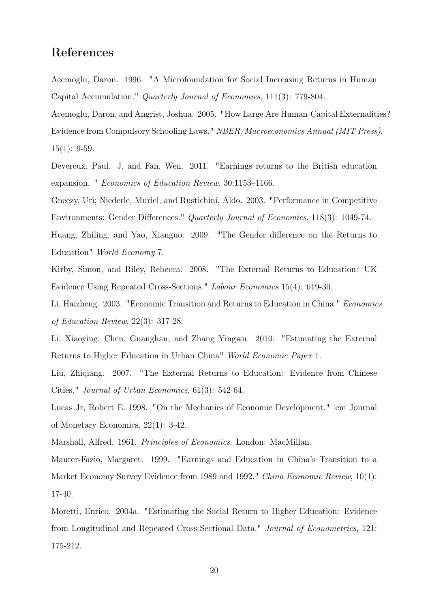## References

Acemoglu, Daron. 1996. "A Microfoundation for Social Increasing Returns in Human Capital Accumulation." Quarterly Journal of Economics, 111(3): 779-804.

Acemoglu, Daron, and Angrist, Joshua. 2005. "How Large Are Human-Capital Externalities? Evidence from Compulsory Schooling Laws." NBER/Macroeconomics Annual (MIT Press), 15(1): 9-59.

Devereux, Paul. J. and Fan, Wen. 2011. "Earnings returns to the British education expansion. " Economics of Education Review, 30:1153–1166.

Gneezy, Uri; Niederle, Muriel, and Rustichini, Aldo. 2003. "Performance in Competitive Environments: Gender Differences." Quarterly Journal of Economics, 118(3): 1049-74.

Huang, Zhiling, and Yao, Xianguo. 2009. "The Gender difference on the Returns to Education" World Economy 7.

Kirby, Simon, and Riley, Rebecca. 2008. "The External Returns to Education: UK Evidence Using Repeated Cross-Sections." Labour Economics 15(4): 619-30.

Li, Haizheng. 2003. "Economic Transition and Returns to Education in China." Economics of Education Review, 22(3): 317-28.

Li, Xiaoying; Chen, Guanghan, and Zhang Yingwu. 2010. "Estimating the External Returns to Higher Education in Urban China" World Economic Paper 1.

Liu, Zhiqiang. 2007. "The External Returns to Education: Evidence from Chinese Cities." Journal of Urban Economics, 61(3): 542-64.

Lucas Jr, Robert E. 1998. "On the Mechanics of Economic Development." |em Journal of Monetary Economics, 22(1): 3-42.

Marshall, Alfred. 1961. Principles of Economics. London: MacMillan.

Maurer-Fazio, Margaret. 1999. "Earnings and Education in China's Transition to a Market Economy Survey Evidence from 1989 and 1992." China Economic Review, 10(1): 17-40.

Moretti, Enrico. 2004a. "Estimating the Social Return to Higher Education: Evidence from Longitudinal and Repeated Cross-Sectional Data." Journal of Econometrics, 121: 175-212.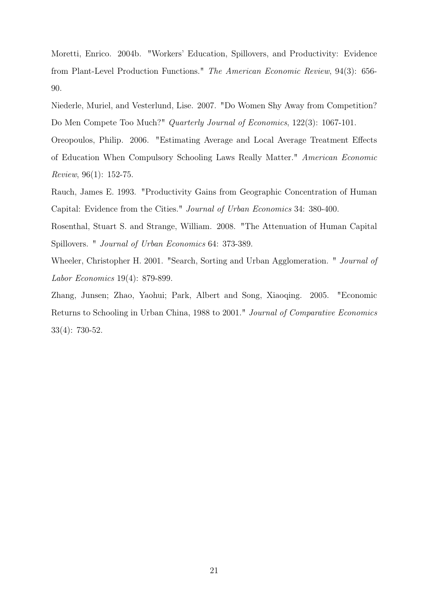Moretti, Enrico. 2004b. "Workers' Education, Spillovers, and Productivity: Evidence from Plant-Level Production Functions." The American Economic Review, 94(3): 656- 90.

Niederle, Muriel, and Vesterlund, Lise. 2007. "Do Women Shy Away from Competition? Do Men Compete Too Much?" Quarterly Journal of Economics, 122(3): 1067-101.

Oreopoulos, Philip. 2006. "Estimating Average and Local Average Treatment Effects of Education When Compulsory Schooling Laws Really Matter." American Economic Review, 96(1): 152-75.

Rauch, James E. 1993. "Productivity Gains from Geographic Concentration of Human Capital: Evidence from the Cities." Journal of Urban Economics 34: 380-400.

Rosenthal, Stuart S. and Strange, William. 2008. "The Attenuation of Human Capital Spillovers. " Journal of Urban Economics 64: 373-389.

Wheeler, Christopher H. 2001. "Search, Sorting and Urban Agglomeration. " Journal of Labor Economics 19(4): 879-899.

Zhang, Junsen; Zhao, Yaohui; Park, Albert and Song, Xiaoqing. 2005. "Economic Returns to Schooling in Urban China, 1988 to 2001." Journal of Comparative Economics 33(4): 730-52.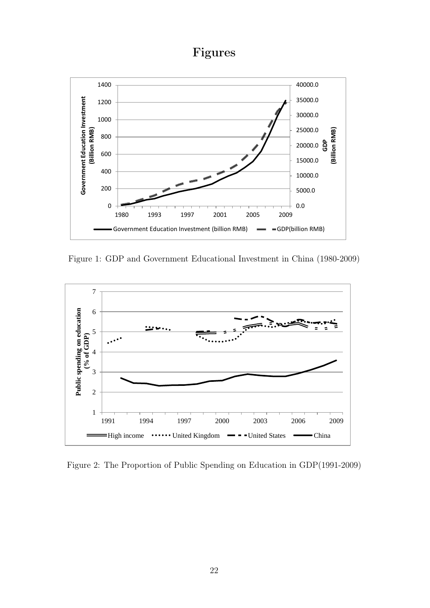## Figures



Figure 1: GDP and Government Educational Investment in China (1980-2009)



Figure 2: The Proportion of Public Spending on Education in GDP(1991-2009)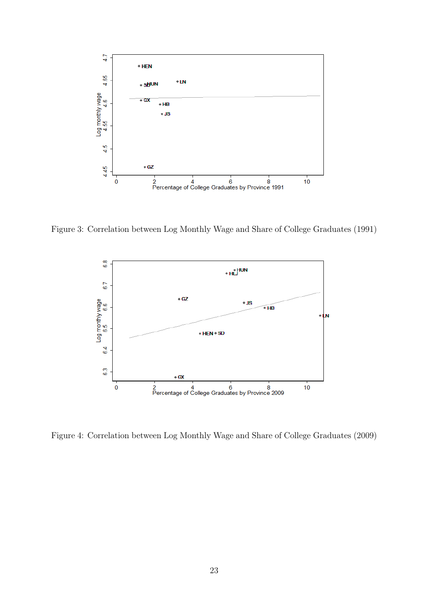

Figure 3: Correlation between Log Monthly Wage and Share of College Graduates (1991)



Figure 4: Correlation between Log Monthly Wage and Share of College Graduates (2009)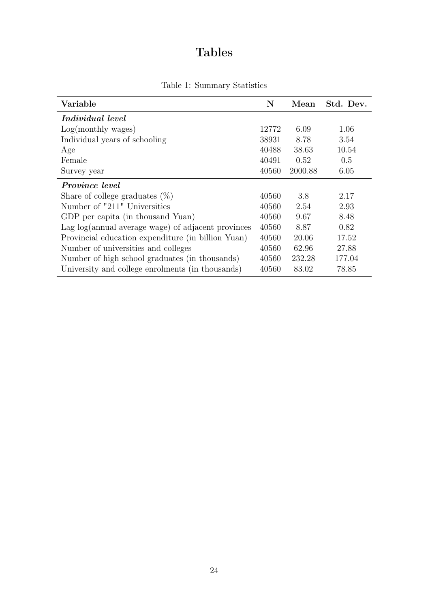## Tables

|  |  | Table 1: Summary Statistics |  |
|--|--|-----------------------------|--|
|--|--|-----------------------------|--|

| Variable                                           |       | Mean    | Std. Dev. |
|----------------------------------------------------|-------|---------|-----------|
| <i>Individual level</i>                            |       |         |           |
| Log(monthly wages)                                 | 12772 | 6.09    | 1.06      |
| Individual years of schooling                      | 38931 | 8.78    | 3.54      |
| Age                                                | 40488 | 38.63   | 10.54     |
| Female                                             | 40491 | 0.52    | 0.5       |
| Survey year                                        | 40560 | 2000.88 | 6.05      |
| <i>Province level</i>                              |       |         |           |
| Share of college graduates $(\%)$                  | 40560 | 3.8     | 2.17      |
| Number of "211" Universities                       | 40560 | 2.54    | 2.93      |
| GDP per capita (in thousand Yuan)                  | 40560 | 9.67    | 8.48      |
| Lag log(annual average wage) of adjacent provinces | 40560 | 8.87    | 0.82      |
| Provincial education expenditure (in billion Yuan) | 40560 | 20.06   | 17.52     |
| Number of universities and colleges                | 40560 | 62.96   | 27.88     |
| Number of high school graduates (in thousands)     | 40560 | 232.28  | 177.04    |
| University and college enrolments (in thousands)   | 40560 | 83.02   | 78.85     |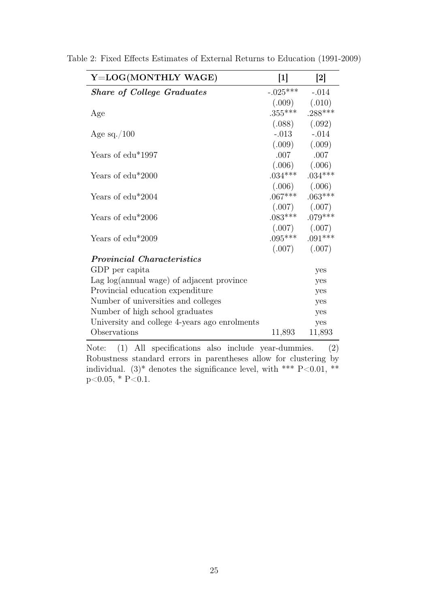| Y=LOG(MONTHLY WAGE)                           | $[1]$               | $\left[2\right]$  |
|-----------------------------------------------|---------------------|-------------------|
| <b>Share of College Graduates</b>             | $-.025***$          | $-.014$           |
|                                               | $(.009)$ $(.010)$   |                   |
| Age                                           | $.355***$ $.288***$ |                   |
|                                               | $(.088)$ $(.092)$   |                   |
| Age sq./100                                   | $-.013$ $-.014$     |                   |
|                                               | $(.009)$ $(.009)$   |                   |
| Years of edu <sup>*</sup> 1997                |                     | $.007$ $.007$     |
|                                               | $(.006)$ $(.006)$   |                   |
| Years of $edu*2000$                           | $.034***$ $.034***$ |                   |
|                                               | $(.006)$ $(.006)$   |                   |
| Years of edu*2004                             | $.067***$ $.063***$ |                   |
|                                               | $(.007)$ $(.007)$   |                   |
| Years of $edu*2006$                           | $.083***$ $.079***$ |                   |
|                                               |                     | $(.007)$ $(.007)$ |
| Years of edu*2009                             | $.095***$ $.091***$ |                   |
|                                               | $(.007)$ $(.007)$   |                   |
| <i>Provincial Characteristics</i>             |                     |                   |
| GDP per capita                                |                     | yes               |
| Lag log(annual wage) of adjacent province     |                     | yes               |
| Provincial education expenditure              |                     | yes               |
| Number of universities and colleges           |                     | yes               |
| Number of high school graduates               |                     | yes               |
| University and college 4-years ago enrolments |                     | yes               |
| Observations                                  | 11,893              | 11,893            |

Table 2: Fixed Effects Estimates of External Returns to Education (1991-2009)

Note: (1) All specifications also include year-dummies. (2) Robustness standard errors in parentheses allow for clustering by individual. (3)<sup>\*</sup> denotes the significance level, with \*\*\* P<0.01, \*\*  $p<0.05$ , \*  $P<0.1$ .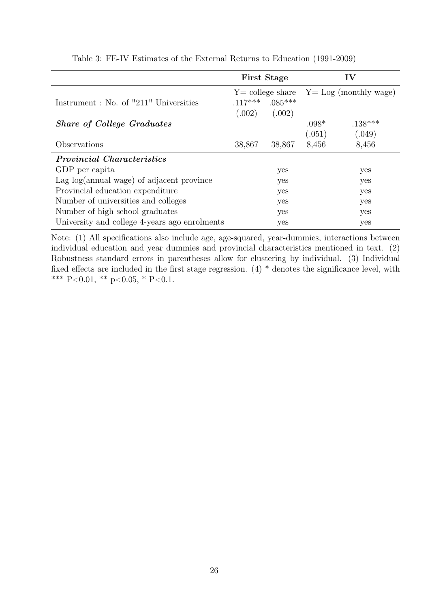|                                               | <b>First Stage</b>                           |                     | IV      |           |
|-----------------------------------------------|----------------------------------------------|---------------------|---------|-----------|
|                                               | $Y =$ college share $Y =$ Log (monthly wage) |                     |         |           |
| Instrument: No. of "211" Universities         |                                              | $.117***$ $.085***$ |         |           |
|                                               | (.002)                                       | (.002)              |         |           |
| <b>Share of College Graduates</b>             |                                              |                     | $.098*$ | $.138***$ |
|                                               |                                              |                     | (.051)  | (.049)    |
| Observations                                  | 38,867                                       | 38,867              | 8,456   | 8,456     |
| <b>Provincial Characteristics</b>             |                                              |                     |         |           |
| GDP per capita                                |                                              | yes                 |         | yes       |
| Lag log(annual wage) of adjacent province     |                                              | yes                 |         | yes       |
| Provincial education expenditure              |                                              | yes                 |         | yes       |
| Number of universities and colleges           |                                              | yes                 |         | yes       |
| Number of high school graduates               |                                              | yes                 |         | yes       |
| University and college 4-years ago enrolments |                                              | yes                 |         | yes       |

#### Table 3: FE-IV Estimates of the External Returns to Education (1991-2009)

Note: (1) All specifications also include age, age-squared, year-dummies, interactions between individual education and year dummies and provincial characteristics mentioned in text. (2) Robustness standard errors in parentheses allow for clustering by individual. (3) Individual fixed effects are included in the first stage regression. (4) \* denotes the significance level, with \*\*\* P<0.01, \*\* p<0.05, \* P<0.1.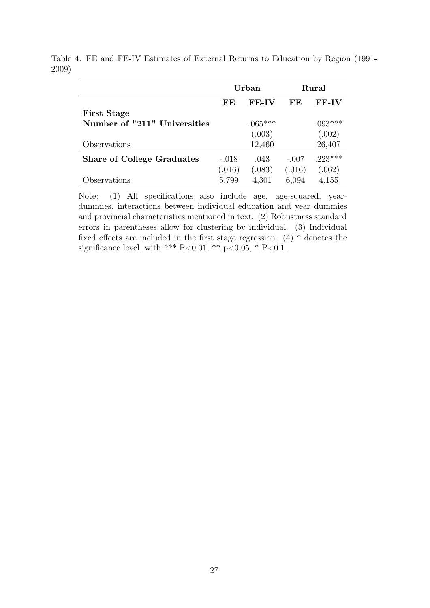|                                   | Urban   |              |         | Rural        |
|-----------------------------------|---------|--------------|---------|--------------|
|                                   | FE      | <b>FE-IV</b> | FF.     | <b>FE-IV</b> |
| <b>First Stage</b>                |         |              |         |              |
| Number of "211" Universities      |         | $.065***$    |         | $.093***$    |
|                                   |         | (.003)       |         | (.002)       |
| Observations                      |         | 12,460       |         | 26,407       |
| <b>Share of College Graduates</b> | $-.018$ | .043         | $-.007$ | $.223***$    |
|                                   | (.016)  | (.083)       | (.016)  | (.062)       |
| Observations                      | 5,799   | 4,301        | 6,094   | 4,155        |

Table 4: FE and FE-IV Estimates of External Returns to Education by Region (1991- 2009)

Note: (1) All specifications also include age, age-squared, yeardummies, interactions between individual education and year dummies and provincial characteristics mentioned in text. (2) Robustness standard errors in parentheses allow for clustering by individual. (3) Individual fixed effects are included in the first stage regression.  $(4)$  \* denotes the significance level, with \*\*\* P<0.01, \*\* p<0.05, \* P<0.1.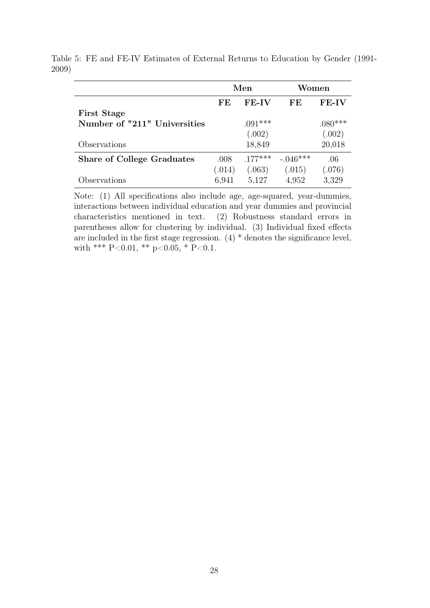|                                   | Men    |              | Women      |           |
|-----------------------------------|--------|--------------|------------|-----------|
|                                   | FE     | <b>FE-IV</b> | FE         | $FE-IV$   |
| <b>First Stage</b>                |        |              |            |           |
| Number of "211" Universities      |        | $.091***$    |            | $.080***$ |
|                                   |        | (.002)       |            | (.002)    |
| Observations                      |        | 18,849       |            | 20,018    |
| <b>Share of College Graduates</b> | .008   | $.177***$    | $-.046***$ | .06       |
|                                   | (.014) | (.063)       | (.015)     | (.076)    |
| Observations                      | 6,941  | 5,127        | 4,952      | 3,329     |

Table 5: FE and FE-IV Estimates of External Returns to Education by Gender (1991- 2009)

Note: (1) All specifications also include age, age-squared, year-dummies, interactions between individual education and year dummies and provincial characteristics mentioned in text. (2) Robustness standard errors in parentheses allow for clustering by individual. (3) Individual fixed effects are included in the first stage regression.  $(4)$  \* denotes the significance level, with \*\*\* P<0.01, \*\* p<0.05, \* P<0.1.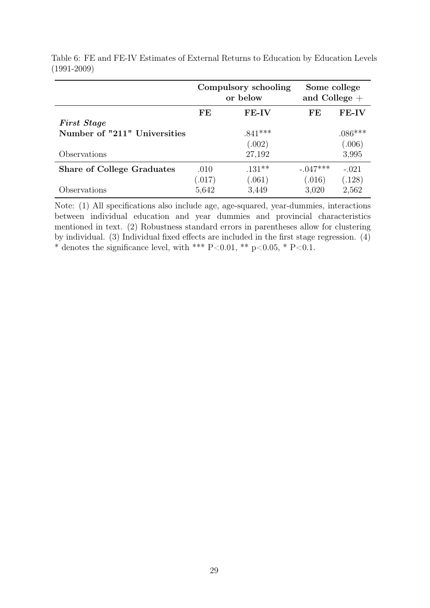|                                   |        | Compulsory schooling<br>or below |            | Some college<br>and College $+$ |  |
|-----------------------------------|--------|----------------------------------|------------|---------------------------------|--|
|                                   | FE.    | $FE-IV$                          | FE         | <b>FE-IV</b>                    |  |
| <b>First Stage</b>                |        |                                  |            |                                 |  |
| Number of "211" Universities      |        | $.841***$                        |            | $.086***$                       |  |
|                                   |        | (.002)                           |            | (.006)                          |  |
| Observations                      |        | 27,192                           |            | 3,995                           |  |
| <b>Share of College Graduates</b> | .010   | $.131***$                        | $-.047***$ | $-.021$                         |  |
|                                   | (.017) | (.061)                           | (.016)     | (.128)                          |  |
| Observations                      | 5,642  | 3,449                            | 3,020      | 2,562                           |  |

Table 6: FE and FE-IV Estimates of External Returns to Education by Education Levels (1991-2009)

Note: (1) All specifications also include age, age-squared, year-dummies, interactions between individual education and year dummies and provincial characteristics mentioned in text. (2) Robustness standard errors in parentheses allow for clustering by individual. (3) Individual fixed effects are included in the first stage regression. (4) \* denotes the significance level, with \*\*\* P<0.01, \*\* p<0.05, \* P<0.1.